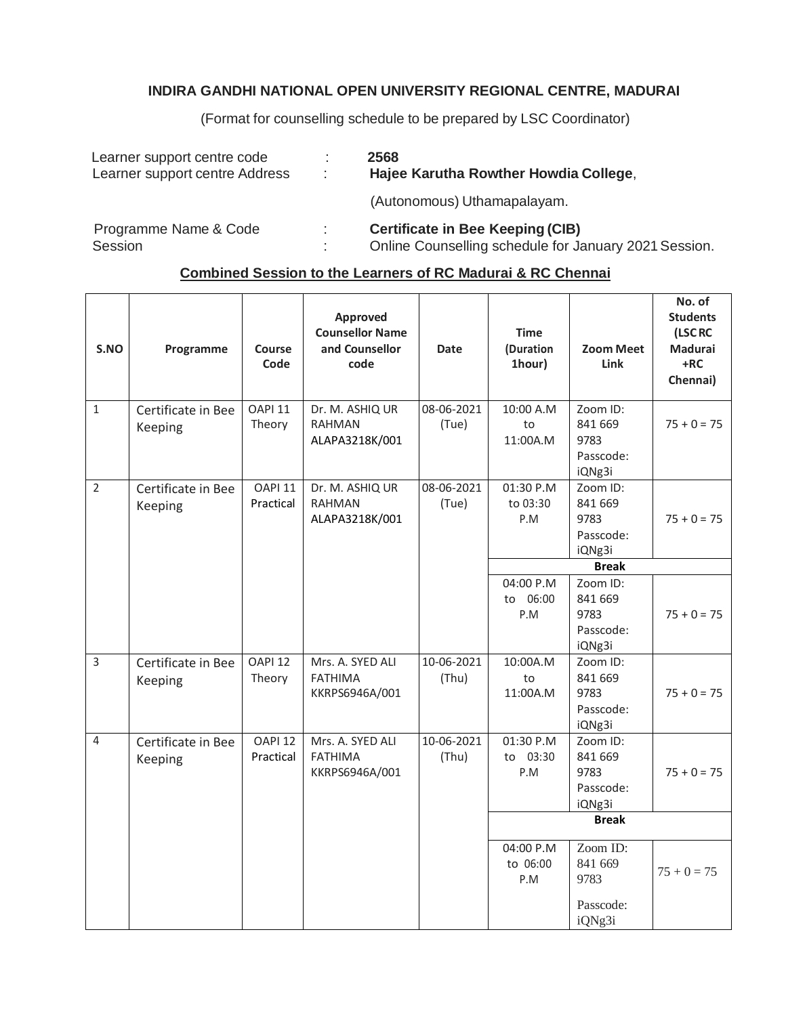## **INDIRA GANDHI NATIONAL OPEN UNIVERSITY REGIONAL CENTRE, MADURAI**

(Format for counselling schedule to be prepared by LSC Coordinator)

| Learner support centre code<br>Learner support centre Address | ÷. | 2568<br>Hajee Karutha Rowther Howdia College,                                                    |
|---------------------------------------------------------------|----|--------------------------------------------------------------------------------------------------|
|                                                               |    | (Autonomous) Uthamapalayam.                                                                      |
| Programme Name & Code<br><b>Session</b>                       | ٠. | <b>Certificate in Bee Keeping (CIB)</b><br>Online Counselling schedule for January 2021 Session. |

## **Combined Session to the Learners of RC Madurai & RC Chennai**

| S.NO           | Programme                     | Course<br>Code                  | <b>Approved</b><br><b>Counsellor Name</b><br>and Counsellor<br>code | <b>Date</b>         | <b>Time</b><br>(Duration<br>1hour) | <b>Zoom Meet</b><br><b>Link</b>                    | No. of<br><b>Students</b><br>(LSC RC<br><b>Madurai</b><br>$+RC$<br>Chennai) |
|----------------|-------------------------------|---------------------------------|---------------------------------------------------------------------|---------------------|------------------------------------|----------------------------------------------------|-----------------------------------------------------------------------------|
| $\mathbf{1}$   | Certificate in Bee<br>Keeping | OAPI <sub>11</sub><br>Theory    | Dr. M. ASHIQ UR<br><b>RAHMAN</b><br>ALAPA3218K/001                  | 08-06-2021<br>(Tue) | 10:00 A.M<br>to<br>11:00A.M        | Zoom ID:<br>841 669<br>9783<br>Passcode:<br>iQNg3i | $75 + 0 = 75$                                                               |
| $\overline{2}$ | Certificate in Bee<br>Keeping | OAPI <sub>11</sub><br>Practical | Dr. M. ASHIQ UR<br><b>RAHMAN</b><br>ALAPA3218K/001                  | 08-06-2021<br>(Tue) | 01:30 P.M<br>to 03:30<br>P.M       | Zoom ID:<br>841 669<br>9783<br>Passcode:<br>iQNg3i | $75 + 0 = 75$                                                               |
|                |                               |                                 |                                                                     |                     |                                    | <b>Break</b>                                       |                                                                             |
|                |                               |                                 |                                                                     |                     | 04:00 P.M<br>to 06:00<br>P.M       | Zoom ID:<br>841 669<br>9783<br>Passcode:<br>iQNg3i | $75 + 0 = 75$                                                               |
| 3              | Certificate in Bee<br>Keeping | OAPI <sub>12</sub><br>Theory    | Mrs. A. SYED ALI<br><b>FATHIMA</b><br>KKRPS6946A/001                | 10-06-2021<br>(Thu) | 10:00A.M<br>to<br>11:00A.M         | Zoom ID:<br>841 669<br>9783<br>Passcode:<br>iQNg3i | $75 + 0 = 75$                                                               |
| 4              | Certificate in Bee<br>Keeping | OAPI <sub>12</sub><br>Practical | Mrs. A. SYED ALI<br><b>FATHIMA</b><br>KKRPS6946A/001                | 10-06-2021<br>(Thu) | 01:30 P.M<br>to 03:30<br>P.M       | Zoom ID:<br>841 669<br>9783<br>Passcode:<br>iQNg3i | $75 + 0 = 75$                                                               |
|                |                               |                                 |                                                                     |                     |                                    | <b>Break</b>                                       |                                                                             |
|                |                               |                                 |                                                                     |                     | 04:00 P.M<br>to 06:00<br>P.M       | Zoom ID:<br>841 669<br>9783<br>Passcode:           | $75 + 0 = 75$                                                               |
|                |                               |                                 |                                                                     |                     |                                    | iQNg3i                                             |                                                                             |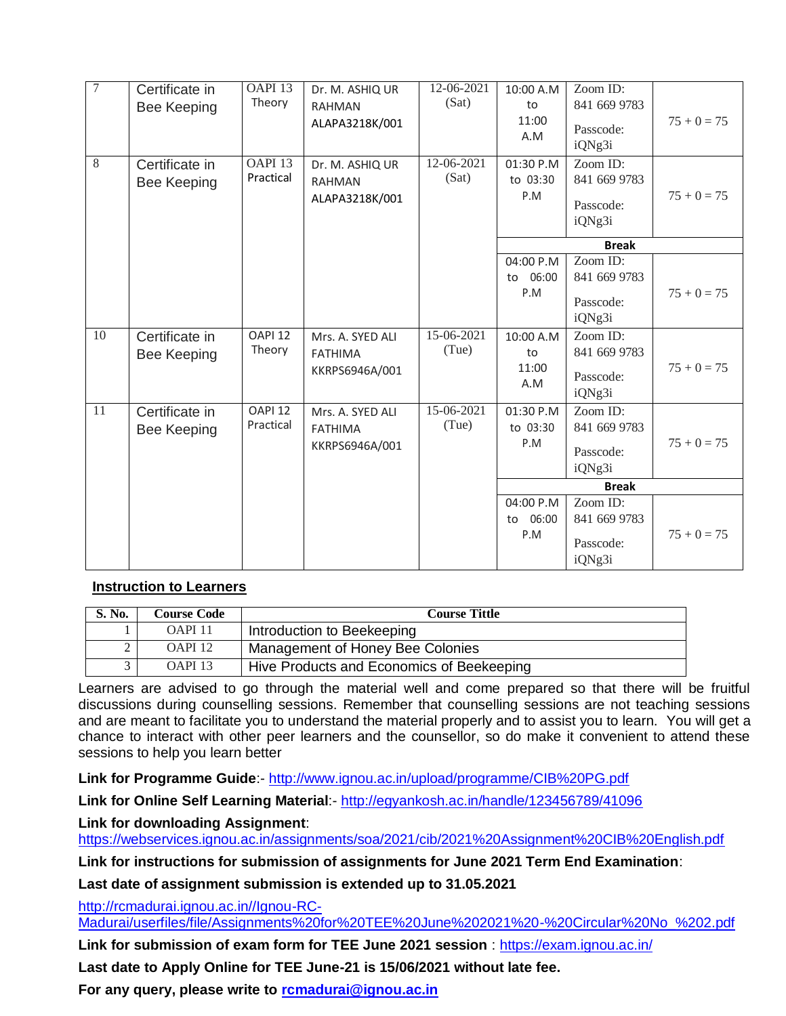| $\overline{7}$ | Certificate in<br><b>Bee Keeping</b> | OAPI <sub>13</sub><br>Theory    | Dr. M. ASHIQ UR<br><b>RAHMAN</b><br>ALAPA3218K/001   | 12-06-2021<br>(Sat) | 10:00 A.M<br>to<br>11:00<br>A.M | Zoom ID:<br>841 669 9783<br>Passcode:<br>iQNg3i | $75 + 0 = 75$ |
|----------------|--------------------------------------|---------------------------------|------------------------------------------------------|---------------------|---------------------------------|-------------------------------------------------|---------------|
| $\overline{8}$ | Certificate in<br><b>Bee Keeping</b> | OAPI <sub>13</sub><br>Practical | Dr. M. ASHIQ UR<br><b>RAHMAN</b><br>ALAPA3218K/001   | 12-06-2021<br>(Sat) | 01:30 P.M<br>to 03:30<br>P.M    | Zoom ID:<br>841 669 9783<br>Passcode:<br>iQNg3i | $75 + 0 = 75$ |
|                |                                      |                                 |                                                      |                     |                                 | <b>Break</b>                                    |               |
|                |                                      |                                 |                                                      |                     | 04:00 P.M<br>06:00<br>to<br>P.M | Zoom ID:<br>841 669 9783<br>Passcode:<br>iQNg3i | $75 + 0 = 75$ |
| 10             | Certificate in<br><b>Bee Keeping</b> | OAPI <sub>12</sub><br>Theory    | Mrs. A. SYED ALI<br><b>FATHIMA</b><br>KKRPS6946A/001 | 15-06-2021<br>(Tue) | 10:00 A.M<br>to<br>11:00<br>A.M | Zoom ID:<br>841 669 9783<br>Passcode:<br>iQNg3i | $75 + 0 = 75$ |
| 11             | Certificate in<br><b>Bee Keeping</b> | <b>OAPI 12</b><br>Practical     | Mrs. A. SYED ALI<br><b>FATHIMA</b><br>KKRPS6946A/001 | 15-06-2021<br>(Tue) | 01:30 P.M<br>to 03:30<br>P.M    | Zoom ID:<br>841 669 9783<br>Passcode:<br>iQNg3i | $75 + 0 = 75$ |
|                |                                      |                                 |                                                      |                     |                                 | <b>Break</b>                                    |               |
|                |                                      |                                 |                                                      |                     | 04:00 P.M<br>to 06:00<br>P.M    | Zoom ID:<br>841 669 9783<br>Passcode:<br>iQNg3i | $75 + 0 = 75$ |

## **Instruction to Learners**

| S. No. | Course Code        | <b>Course Tittle</b>                      |  |  |
|--------|--------------------|-------------------------------------------|--|--|
|        | OAPI <sub>11</sub> | Introduction to Beekeeping                |  |  |
|        | OAPI <sub>12</sub> | Management of Honey Bee Colonies          |  |  |
|        | OAPI <sub>13</sub> | Hive Products and Economics of Beekeeping |  |  |

Learners are advised to go through the material well and come prepared so that there will be fruitful discussions during counselling sessions. Remember that counselling sessions are not teaching sessions and are meant to facilitate you to understand the material properly and to assist you to learn. You will get a chance to interact with other peer learners and the counsellor, so do make it convenient to attend these sessions to help you learn better

**Link for Programme Guide**:- <http://www.ignou.ac.in/upload/programme/CIB%20PG.pdf>

**Link for Online Self Learning Material**:- <http://egyankosh.ac.in/handle/123456789/41096>

**Link for downloading Assignment**:

<https://webservices.ignou.ac.in/assignments/soa/2021/cib/2021%20Assignment%20CIB%20English.pdf>

**Link for instructions for submission of assignments for June 2021 Term End Examination**:

**Last date of assignment submission is extended up to 31.05.2021**

[http://rcmadurai.ignou.ac.in//Ignou-RC-](http://rcmadurai.ignou.ac.in/Ignou-RC-Madurai/userfiles/file/Assignments%20for%20TEE%20June%202021%20-%20Circular%20No_%202.pdf)

[Madurai/userfiles/file/Assignments%20for%20TEE%20June%202021%20-%20Circular%20No\\_%202.pdf](http://rcmadurai.ignou.ac.in/Ignou-RC-Madurai/userfiles/file/Assignments%20for%20TEE%20June%202021%20-%20Circular%20No_%202.pdf)

**Link for submission of exam form for TEE June 2021 session** :<https://exam.ignou.ac.in/>

**Last date to Apply Online for TEE June-21 is 15/06/2021 without late fee.**

**For any query, please write to [rcmadurai@ignou.ac.in](mailto:rcmadurai@ignou.ac.in)**